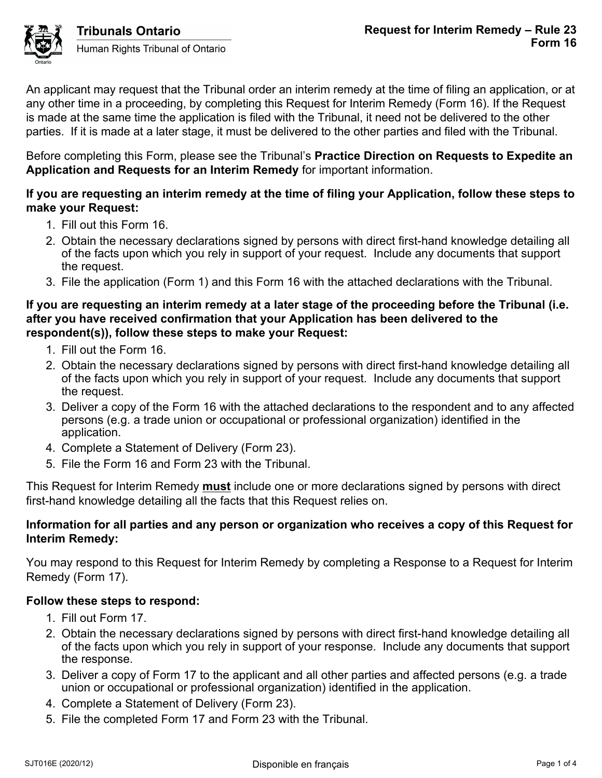

An applicant may request that the Tribunal order an interim remedy at the time of filing an application, or at any other time in a proceeding, by completing this Request for Interim Remedy (Form 16). If the Request is made at the same time the application is filed with the Tribunal, it need not be delivered to the other parties. If it is made at a later stage, it must be delivered to the other parties and filed with the Tribunal.

Before completing this Form, please see the Tribunal's **Practice Direction on Requests to Expedite an Application and Requests for an Interim Remedy** for important information.

# **If you are requesting an interim remedy at the time of filing your Application, follow these steps to make your Request:**

- 1. Fill out this Form 16.
- 2. Obtain the necessary declarations signed by persons with direct first-hand knowledge detailing all of the facts upon which you rely in support of your request. Include any documents that support the request.
- 3. File the application (Form 1) and this Form 16 with the attached declarations with the Tribunal.

## **If you are requesting an interim remedy at a later stage of the proceeding before the Tribunal (i.e. after you have received confirmation that your Application has been delivered to the respondent(s)), follow these steps to make your Request:**

- 1. Fill out the Form 16.
- 2. Obtain the necessary declarations signed by persons with direct first-hand knowledge detailing all of the facts upon which you rely in support of your request. Include any documents that support the request.
- 3. Deliver a copy of the Form 16 with the attached declarations to the respondent and to any affected persons (e.g. a trade union or occupational or professional organization) identified in the application.
- 4. Complete a Statement of Delivery (Form 23).
- 5. File the Form 16 and Form 23 with the Tribunal.

This Request for Interim Remedy **must** include one or more declarations signed by persons with direct first-hand knowledge detailing all the facts that this Request relies on.

## **Information for all parties and any person or organization who receives a copy of this Request for Interim Remedy:**

You may respond to this Request for Interim Remedy by completing a Response to a Request for Interim Remedy (Form 17).

# **Follow these steps to respond:**

- 1. Fill out Form 17.
- 2. Obtain the necessary declarations signed by persons with direct first-hand knowledge detailing all of the facts upon which you rely in support of your response. Include any documents that support the response.
- 3. Deliver a copy of Form 17 to the applicant and all other parties and affected persons (e.g. a trade union or occupational or professional organization) identified in the application.
- 4. Complete a Statement of Delivery (Form 23).
- 5. File the completed Form 17 and Form 23 with the Tribunal.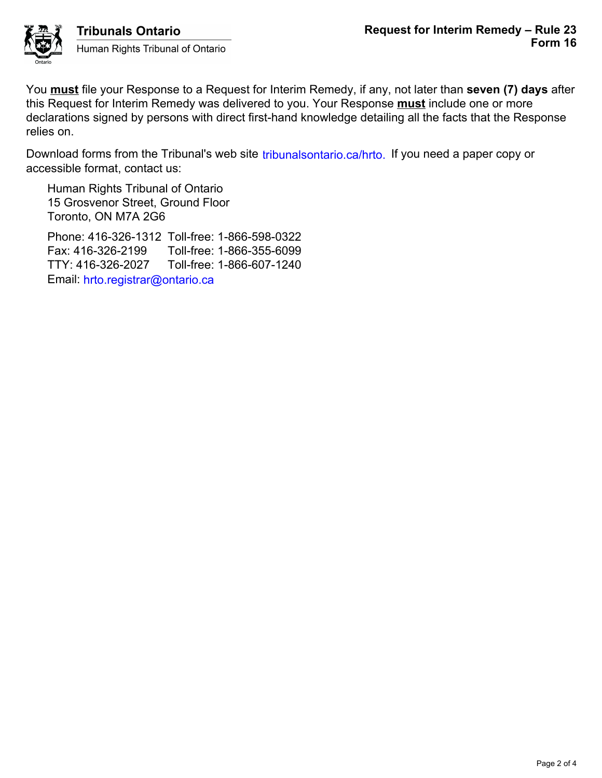

You **must** file your Response to a Request for Interim Remedy, if any, not later than **seven (7) days** after this Request for Interim Remedy was delivered to you. Your Response **must** include one or more declarations signed by persons with direct first-hand knowledge detailing all the facts that the Response relies on.

Download forms from the Tribunal's web site tribunalsontario.ca/hrto. If you need a paper copy or accessible format, contact us:

Human Rights Tribunal of Ontario 15 Grosvenor Street, Ground Floor Toronto, ON M7A 2G6

Phone: 416-326-1312 Toll-free: 1-866-598-0322 Fax: 416-326-2199 Toll-free: 1-866-355-6099 TTY: 416-326-2027 Toll-free: 1-866-607-1240 Email: hrto.registrar@ontario.ca orms from the fribunals web site tribunalsontario.ca/hrto. If you need a paper copy or<br>Part Rights Tribunal of Ortario<br>Repha Tribunals of Ortario.<br>Syener Street, Ground Floor<br>A syene Street, Ground Floor<br>4.4 tries 246-2193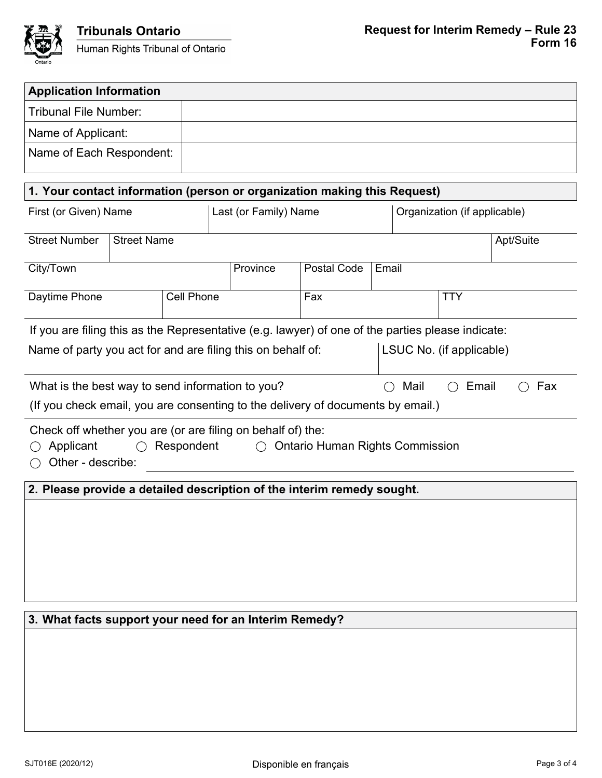

| <b>Application Information</b>                                                                                                                                     |                    |                   |                       |             |       |                              |           |  |  |
|--------------------------------------------------------------------------------------------------------------------------------------------------------------------|--------------------|-------------------|-----------------------|-------------|-------|------------------------------|-----------|--|--|
| <b>Tribunal File Number:</b>                                                                                                                                       |                    |                   |                       |             |       |                              |           |  |  |
| Name of Applicant:                                                                                                                                                 |                    |                   |                       |             |       |                              |           |  |  |
| Name of Each Respondent:                                                                                                                                           |                    |                   |                       |             |       |                              |           |  |  |
|                                                                                                                                                                    |                    |                   |                       |             |       |                              |           |  |  |
| 1. Your contact information (person or organization making this Request)                                                                                           |                    |                   |                       |             |       |                              |           |  |  |
| First (or Given) Name                                                                                                                                              |                    |                   | Last (or Family) Name |             |       | Organization (if applicable) |           |  |  |
| <b>Street Number</b>                                                                                                                                               | <b>Street Name</b> |                   |                       |             |       |                              | Apt/Suite |  |  |
| City/Town                                                                                                                                                          |                    |                   | Province              | Postal Code | Email |                              |           |  |  |
| Daytime Phone                                                                                                                                                      |                    | <b>Cell Phone</b> |                       | Fax         |       | <b>TTY</b>                   |           |  |  |
| If you are filing this as the Representative (e.g. lawyer) of one of the parties please indicate:                                                                  |                    |                   |                       |             |       |                              |           |  |  |
| Name of party you act for and are filing this on behalf of:                                                                                                        |                    |                   |                       |             |       | LSUC No. (if applicable)     |           |  |  |
| What is the best way to send information to you?<br>Mail<br>Email<br>Fax<br>( )<br>( )<br>$($ )                                                                    |                    |                   |                       |             |       |                              |           |  |  |
| (If you check email, you are consenting to the delivery of documents by email.)                                                                                    |                    |                   |                       |             |       |                              |           |  |  |
| Check off whether you are (or are filing on behalf of) the:<br>Applicant<br>Respondent<br><b>Ontario Human Rights Commission</b><br>$\bigcap$<br>Other - describe: |                    |                   |                       |             |       |                              |           |  |  |
| 2. Please provide a detailed description of the interim remedy sought.                                                                                             |                    |                   |                       |             |       |                              |           |  |  |
|                                                                                                                                                                    |                    |                   |                       |             |       |                              |           |  |  |
|                                                                                                                                                                    |                    |                   |                       |             |       |                              |           |  |  |
|                                                                                                                                                                    |                    |                   |                       |             |       |                              |           |  |  |
|                                                                                                                                                                    |                    |                   |                       |             |       |                              |           |  |  |
|                                                                                                                                                                    |                    |                   |                       |             |       |                              |           |  |  |
| 3. What facts support your need for an Interim Remedy?                                                                                                             |                    |                   |                       |             |       |                              |           |  |  |
|                                                                                                                                                                    |                    |                   |                       |             |       |                              |           |  |  |
|                                                                                                                                                                    |                    |                   |                       |             |       |                              |           |  |  |
|                                                                                                                                                                    |                    |                   |                       |             |       |                              |           |  |  |
|                                                                                                                                                                    |                    |                   |                       |             |       |                              |           |  |  |
|                                                                                                                                                                    |                    |                   |                       |             |       |                              |           |  |  |